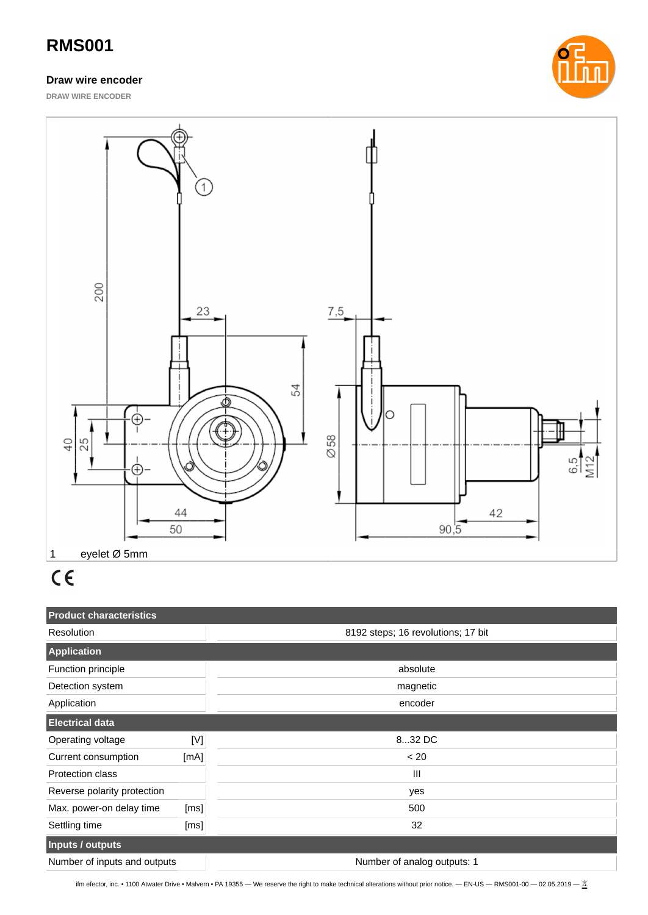## **RMS001**

#### **Draw wire encoder**

**DRAW WIRE ENCODER**





# $C \in$

| <b>Product characteristics</b> |      |                                    |  |  |  |  |
|--------------------------------|------|------------------------------------|--|--|--|--|
| Resolution                     |      | 8192 steps; 16 revolutions; 17 bit |  |  |  |  |
| <b>Application</b>             |      |                                    |  |  |  |  |
| Function principle             |      | absolute                           |  |  |  |  |
| Detection system               |      | magnetic                           |  |  |  |  |
| Application                    |      | encoder                            |  |  |  |  |
| <b>Electrical data</b>         |      |                                    |  |  |  |  |
| Operating voltage              | [N]  | 832 DC                             |  |  |  |  |
| Current consumption            | [mA] | < 20                               |  |  |  |  |
| Protection class               |      | $\mathbf{III}$                     |  |  |  |  |
| Reverse polarity protection    |      | yes                                |  |  |  |  |
| Max. power-on delay time       | [ms] | 500                                |  |  |  |  |
| Settling time                  | [ms] | 32                                 |  |  |  |  |
| Inputs / outputs               |      |                                    |  |  |  |  |
| Number of inputs and outputs   |      | Number of analog outputs: 1        |  |  |  |  |

ifm efector, inc. • 1100 Atwater Drive • Malvern • PA 19355 — We reserve the right to make technical alterations without prior notice. — EN-US — RMS001-00 — 02.05.2019 —  $\frac{X}{2}$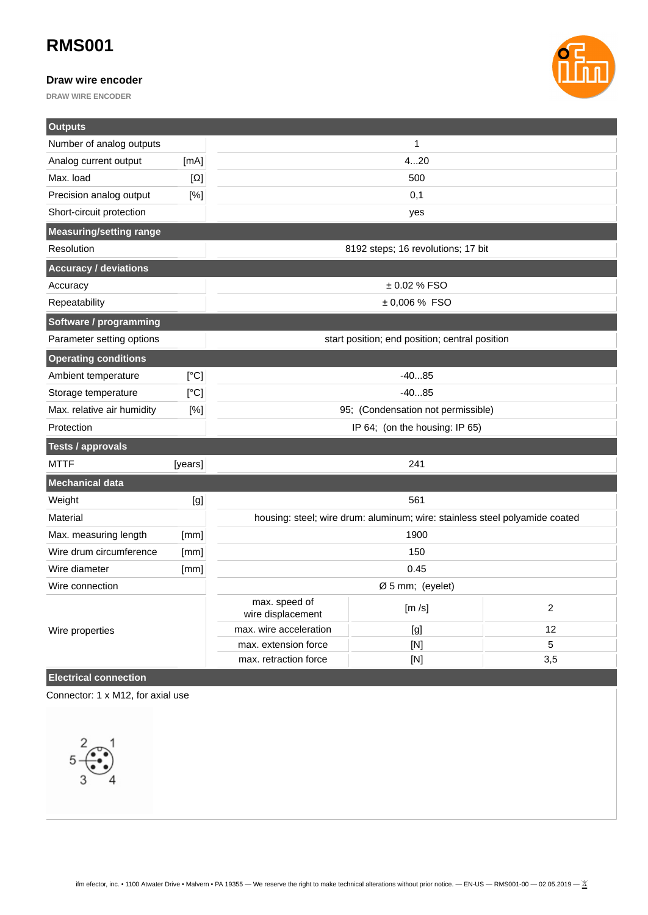## **RMS001**

#### **Draw wire encoder**

**DRAW WIRE ENCODER**



| <b>Outputs</b>                 |            |                                                                             |       |                |  |  |
|--------------------------------|------------|-----------------------------------------------------------------------------|-------|----------------|--|--|
| Number of analog outputs       |            | $\mathbf{1}$                                                                |       |                |  |  |
| Analog current output          | [mA]       | 420                                                                         |       |                |  |  |
| Max. load                      | $[\Omega]$ | 500                                                                         |       |                |  |  |
| Precision analog output        | [%]        | 0,1                                                                         |       |                |  |  |
| Short-circuit protection       |            | yes                                                                         |       |                |  |  |
| <b>Measuring/setting range</b> |            |                                                                             |       |                |  |  |
| <b>Resolution</b>              |            | 8192 steps; 16 revolutions; 17 bit                                          |       |                |  |  |
| <b>Accuracy / deviations</b>   |            |                                                                             |       |                |  |  |
| Accuracy                       |            | ± 0.02 % FSO                                                                |       |                |  |  |
| Repeatability                  |            | ± 0,006 % FSO                                                               |       |                |  |  |
| Software / programming         |            |                                                                             |       |                |  |  |
| Parameter setting options      |            | start position; end position; central position                              |       |                |  |  |
| <b>Operating conditions</b>    |            |                                                                             |       |                |  |  |
| Ambient temperature            | [°C]       | $-4085$                                                                     |       |                |  |  |
| Storage temperature            | [°C]       | $-4085$                                                                     |       |                |  |  |
| Max. relative air humidity     | [%]        | 95; (Condensation not permissible)                                          |       |                |  |  |
| Protection                     |            | IP 64; (on the housing: IP 65)                                              |       |                |  |  |
| <b>Tests / approvals</b>       |            |                                                                             |       |                |  |  |
| <b>MTTF</b>                    | [years]    | 241                                                                         |       |                |  |  |
| <b>Mechanical data</b>         |            |                                                                             |       |                |  |  |
| Weight                         | [g]        | 561                                                                         |       |                |  |  |
| Material                       |            | housing: steel; wire drum: aluminum; wire: stainless steel polyamide coated |       |                |  |  |
| Max. measuring length          | [mm]       | 1900                                                                        |       |                |  |  |
| Wire drum circumference        | [mm]       | 150                                                                         |       |                |  |  |
| Wire diameter                  | [mm]       | 0.45                                                                        |       |                |  |  |
| Wire connection                |            | Ø 5 mm; (eyelet)                                                            |       |                |  |  |
|                                |            | max. speed of<br>wire displacement                                          | [m/s] | $\overline{2}$ |  |  |
| Wire properties                |            | max. wire acceleration                                                      | [g]   | 12             |  |  |
|                                |            | max. extension force                                                        | [N]   | 5              |  |  |
|                                |            | max. retraction force                                                       | [N]   | 3,5            |  |  |

#### **Electrical connection**

Connector: 1 x M12, for axial use

5 3